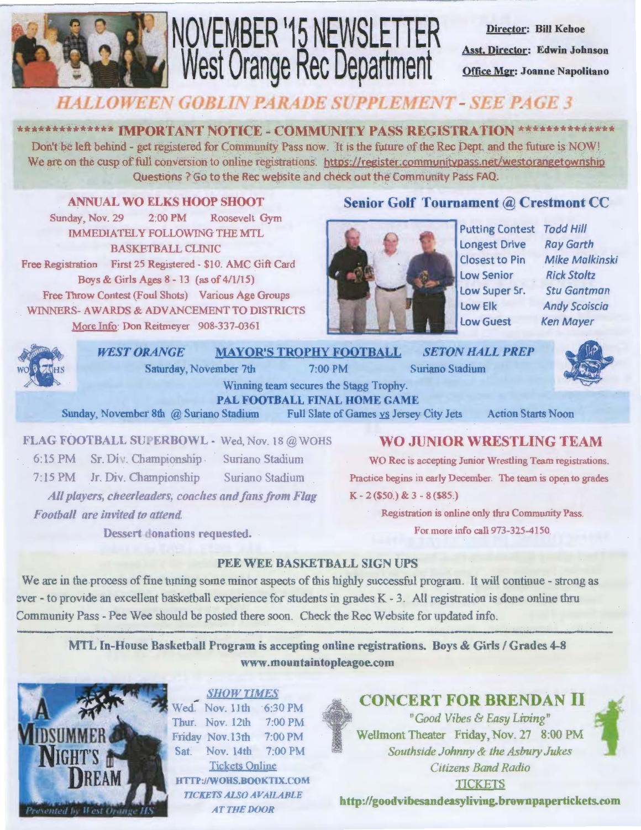

# NOVEMBER '15 NEWSLETTER West Orange Rec Department

Director: Bill Kehoe Asst. Director: Edwin Johnson Office Mgr: Joanne Napolitano

### **HALLOWEEN GOBLIN PARADE SUPPLEMENT - SEE PAGE 3**

\*\*\*\*\*\*\*\*\*\*\*\*\*\* IMPORTANT NOTICE - COMMUNITY PASS REGISTRATION \*\*\*\*\*\*\*\*\*\*\*\*\*\*\* Don't be left behind - get registered for Community Pass now. It is the future of the Rec Dept, and the future is NOW! We are on the cusp of full conversion to online registrations. https://register.communitypass.net/westorangetownship Questions ? Go to the Rec website and check out the Community Pass FAQ.

ANNUAL WO ELKS HOOP SHOOT Sunday, Nov. 29 2.00 PM Roosevelt Gym IMMEDIATELY FOLLOWING THE MTL BASKETBALL CLINIC Free Registration First 25 Registered- \$10. AMC Gift Card Boys & Girls Ages 8 - 13 (as of 4/1/15) Free Throw Contest (Foul Shots) Various Age Groups WINNERS- AWARDS & ADVANCEMENT TO DISTRICTS More Info: Don Reitmeyer 908-337-0361

#### Senior Golf Tournament @ Crestmont CC



Putting Contest Todd Hill Longest Drive Closest to Pin Low Senior Low Super Sr. Low Elk Low Guest

Ray Garth Mike Malkinski Rick Stoltz Stu Gantman Andy Scoiscia Ken Mayer



7:15 PM Jr. Div. Championship Suriano Stadium All *players, cheerleaders, coaches and fans from Flag Football are invited to attend.* 

Dessert donations requested.

Practice begins in early December. The team is open to grades K - 2 (\$50.) & 3 - 8 (\$85.)

> Registration is online only thru Community Pass. For more info ca11973-325-4150.

#### PEE WEE BASKETBALL SIGN UPS

We are in the process of fine tuning some minor aspects of this highly successful program. It will continue - strong as ever - to provide an excellent basketball experience for students in grades K - 3. All registration is done online thru Community Pass - Pee Wee should be posted there soon. Check the Rec Website for updated info.

MTL In-House Basketball Program is accepting online registrations. Boys & Girls / Grades 4-8 www.mountaintopleagoe.com



**SHOW TIMES** ..,. Wed. Nov. I lth ·6:30PM Thur. Nov. 12th 7:00PM Friday Nov.l3th 7:00PM Sat Nov. 14th 7:00PM Tickets Onlme •JTTP:J/WOIIS.BOOKTIX.COM *TICKETS ALSO AVAILABLE*  AT THE DOOR



CONCERT FOR BRENDAN ll

<sup>n</sup>Good Vibes & Easy Living" Wellmont Theater Friday, Nov. 27 8:00 PM Southside Johnny & the Asbury Jukes *Citizens Band Radio*  TICKETS

http:/fgoodvibesandeasyliving.brownpapertickets.com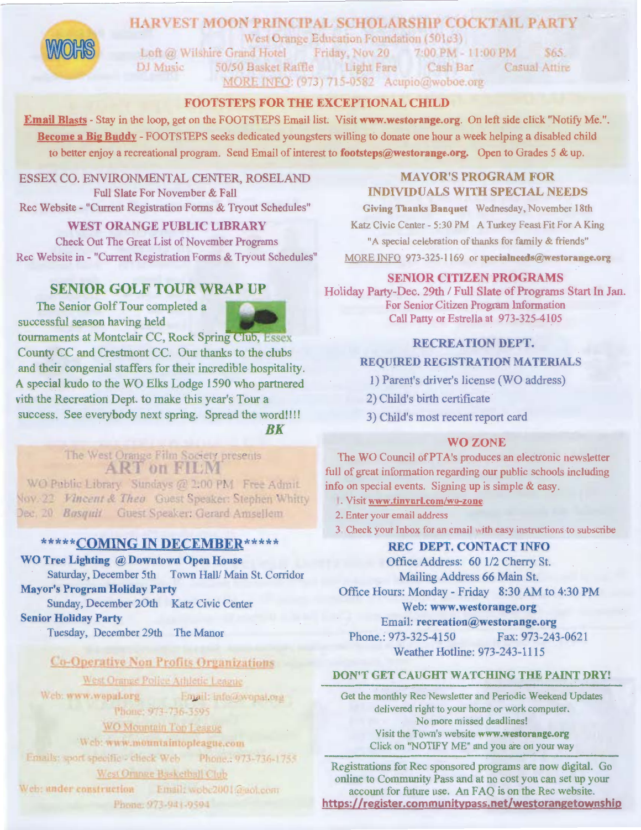#### **HARVEST MOON PRINCIPAL SCHOLARSHIP COCKTAIL PARTY**



West Orange Education Foundation (501c3)

Loft @ Wilshire Grand Hotel Friday, Nov 20 7:00 PM - 11:00 PM  $$65.$ Light Fare 50/50 Basket Raffle Cash Bar **Casual Attire** DJ Music MORE INFO: (973) 715-0582 Acupio@woboe.org

#### FOOTSTEPS FOR THE EXCEPTIONAL CHILD

Email Blasts - Stay in the loop, get on the FOOTSTEPS Email list. Visit www.westorange.org. On left side click "Notify Me.". Become a Big Buddy - FOOTSTEPS seeks dedicated youngsters willing to donate one hour a week helping a disabled child to better enjoy a recreational program. Send Email of interest to footsteps@westorange.org. Open to Grades 5 & up.

ESSEX CO. ENVIRONMENTAL CENTER, ROSELAND Full Slate For November & Fall Rec Website - "Current Registration Forms & Tryout Schedules"

#### **WEST ORANGE PUBLIC LIBRARY**

**Check Out The Great List of November Programs** Rec Website in - "Current Registration Forms & Tryout Schedules"

#### **SENIOR GOLF TOUR WRAP UP**

The Senior Golf Tour completed a successful season having held



tournaments at Montclair CC, Rock Spring Club, Essex County CC and Crestmont CC. Our thanks to the clubs and their congenial staffers for their incredible hospitality. A special kudo to the WO Elks Lodge 1590 who partnered vith the Recreation Dept. to make this year's Tour a success. See everybody next spring. Spread the word!!!! BK

#### The West Orange Film Society presents **ART on FILM**

WO Public Library Sundays @ 2:00 PM Free Admit. Voy. 22 Vincent & Theo Guest Speaker: Stephen Whitty Dec. 20 Basquit Guest Speaker: Gerard Amsellem

#### \*\*\*\*\* COMING IN DECEMBER\*\*\*\*\*

WO Tree Lighting @ Downtown Open House

Saturday, December 5th Town Hall/ Main St. Corridor **Mayor's Program Holiday Party** 

Sunday, December 20th Katz Civic Center **Senior Holiday Party** 

Tuesday, December 29th The Manor

#### **Co-Operative Non Profits Organizations**

West Orange Police Athletic League

Web: www.wopal.org Email: info@wopal.org Phone: 973-736-3595

#### WO Mountain Top League

Web: www.mountaintopleague.com

Emails: sport specific + check Web Phone.: 973-736-1755

#### West Orange Basketball Club

Web: under construction Email: wobc2001@gob.com Phone: 973-941-9594

#### **MAYOR'S PROGRAM FOR INDIVIDUALS WITH SPECIAL NEEDS**

Giving Thanks Banquet Wednesday, November 18th Katz Civic Center - 5:30 PM A Turkey Feast Fit For A King "A special celebration of thanks for family & friends" MORE INFO 973-325-1169 or specialneeds@westorange.org

#### **SENIOR CITIZEN PROGRAMS**

Holiday Party-Dec. 29th / Full Slate of Programs Start In Jan. For Senior Citizen Program Information Call Patty or Estrella at 973-325-4105

#### **RECREATION DEPT.**

#### **REQUIRED REGISTRATION MATERIALS**

- 1) Parent's driver's license (WO address)
- 2) Child's birth certificate
- 3) Child's most recent report card

#### **WO ZONE**

The WO Council of PTA's produces an electronic newsletter full of great information regarding our public schools including info on special events. Signing up is simple & easy.

- 1. Visit www.tinyurl.com/wo-zone
- 2. Enter your email address
- 3 Check your Inbox for an email with easy instructions to subscribe

#### **REC DEPT. CONTACT INFO**

Office Address: 60 1/2 Cherry St.

Mailing Address 66 Main St.

Office Hours: Monday - Friday 8:30 AM to 4:30 PM

#### Web: www.westorange.org

Email: recreation@westorange.org

Phone.: 973-325-4150 Fax: 973-243-0621 Weather Hotline: 973-243-1115

#### DON'T GET CAUGHT WATCHING THE PAINT DRY!

Get the monthly Rec Newsletter and Periodic Weekend Updates delivered right to your home or work computer. No more missed deadlines! Visit the Town's website www.westorange.org Click on "NOTIFY ME" and you are on your way

Registrations for Rec sponsored programs are now digital. Go online to Community Pass and at no cost you can set up your account for future use. An FAQ is on the Rec website. https://register.communitypass.net/westorangetownship